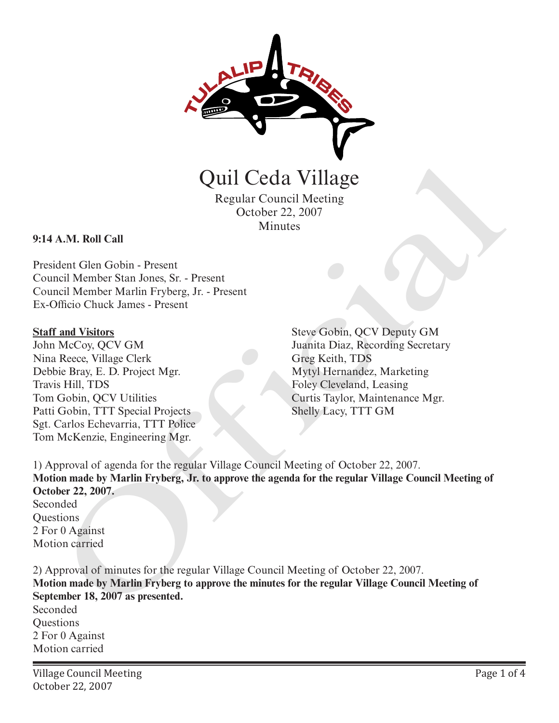

Quil Ceda Village

Regular Council Meeting October 22, 2007 Minutes

#### **9:14 A.M. Roll Call**

President Glen Gobin - Present Council Member Stan Jones, Sr. - Present Council Member Marlin Fryberg, Jr. - Present Ex-Officio Chuck James - Present

#### **Staff and Visitors**

John McCoy, QCV GM Nina Reece, Village Clerk Debbie Bray, E. D. Project Mgr. Travis Hill, TDS Tom Gobin, QCV Utilities Patti Gobin, TTT Special Projects Sgt. Carlos Echevarria, TTT Police Tom McKenzie, Engineering Mgr.

Steve Gobin, QCV Deputy GM Juanita Diaz, Recording Secretary Greg Keith, TDS Mytyl Hernandez, Marketing Foley Cleveland, Leasing Curtis Taylor, Maintenance Mgr. Shelly Lacy, TTT GM

1) Approval of agenda for the regular Village Council Meeting of October 22, 2007. **Motion made by Marlin Fryberg, Jr. to approve the agenda for the regular Village Council Meeting of October 22, 2007.** Seconded Questions 2 For 0 Against Motion carried **CHATA CONTROVIDE CONTROVIDED**<br>
Regular Council Meeting<br>
Cetober 22, 2007<br>
A.M. Roll Call<br>
Cetober 22, 2007<br>
dent Cien Gobin - Present<br>
mail Member Shan Jones, Sr. - Present<br>
mail Member Shan Jones, Sr. - Present<br>
mail Vis

2) Approval of minutes for the regular Village Council Meeting of October 22, 2007. **Motion made by Marlin Fryberg to approve the minutes for the regular Village Council Meeting of September 18, 2007 as presented.** Seconded **Questions** 2 For 0 Against Motion carried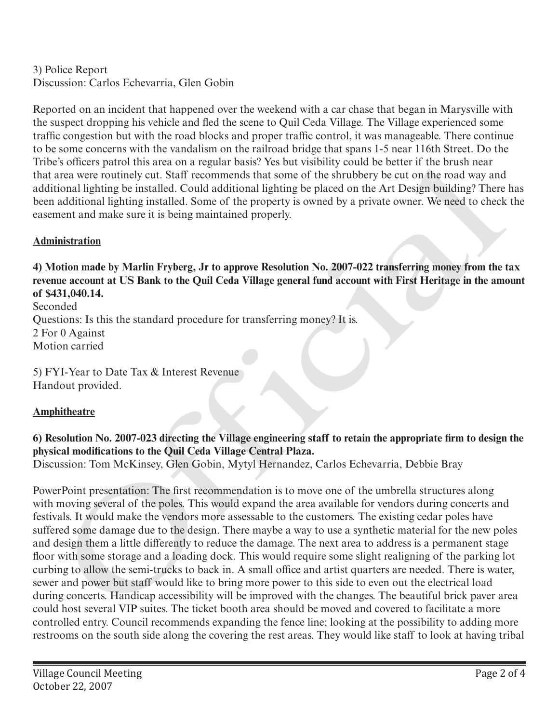# 3) Police Report Discussion: Carlos Echevarria, Glen Gobin

Reported on an incident that happened over the weekend with a car chase that began in Marysville with the suspect dropping his vehicle and fled the scene to Quil Ceda Village. The Village experienced some traffic congestion but with the road blocks and proper traffic control, it was manageable. There continue to be some concerns with the vandalism on the railroad bridge that spans 1-5 near 116th Street. Do the Tribe's officers patrol this area on a regular basis? Yes but visibility could be better if the brush near that area were routinely cut. Staff recommends that some of the shrubbery be cut on the road way and additional lighting be installed. Could additional lighting be placed on the Art Design building? There has been additional lighting installed. Some of the property is owned by a private owner. We need to check the easement and make sure it is being maintained properly.

## **Administration**

**4) Motion made by Marlin Fryberg, Jr to approve Resolution No. 2007-022 transferring money from the tax revenue account at US Bank to the Quil Ceda Village general fund account with First Heritage in the amount of \$431,040.14.**

Seconded Questions: Is this the standard procedure for transferring money? It is. 2 For 0 Against Motion carried

5) FYI-Year to Date Tax & Interest Revenue Handout provided.

# **Amphitheatre**

## **6) Resolution No. 2007-023 directing the Village engineering staff to retain the appropriate firm to design the physical modifications to the Quil Ceda Village Central Plaza.**

Discussion: Tom McKinsey, Glen Gobin, Mytyl Hernandez, Carlos Echevarria, Debbie Bray

PowerPoint presentation: The first recommendation is to move one of the umbrella structures along with moving several of the poles. This would expand the area available for vendors during concerts and festivals. It would make the vendors more assessable to the customers. The existing cedar poles have suffered some damage due to the design. There maybe a way to use a synthetic material for the new poles and design them a little differently to reduce the damage. The next area to address is a permanent stage floor with some storage and a loading dock. This would require some slight realigning of the parking lot curbing to allow the semi-trucks to back in. A small office and artist quarters are needed. There is water, sewer and power but staff would like to bring more power to this side to even out the electrical load during concerts. Handicap accessibility will be improved with the changes. The beautiful brick paver area could host several VIP suites. The ticket booth area should be moved and covered to facilitate a more controlled entry. Council recommends expanding the fence line; looking at the possibility to adding more restrooms on the south side along the covering the rest areas. They would like staff to look at having tribal is omen's parton this area on a regular nasis? yes nut visitomity could be enter it the bruns heare<br>area were poutincly cut. Staff recommends that some of the shrubbery be cut on the roat way and<br>additional lighting be ins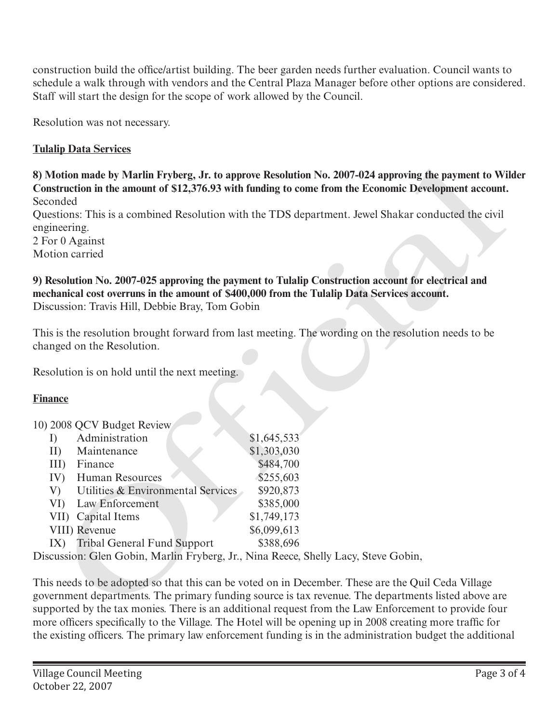construction build the office/artist building. The beer garden needs further evaluation. Council wants to schedule a walk through with vendors and the Central Plaza Manager before other options are considered. Staff will start the design for the scope of work allowed by the Council.

Resolution was not necessary.

## **Tulalip Data Services**

**8) Motion made by Marlin Fryberg, Jr. to approve Resolution No. 2007-024 approving the payment to Wilder Construction in the amount of \$12,376.93 with funding to come from the Economic Development account.** Seconded

2 For 0 Against

Motion carried

Resolution is on hold until the next meeting.

### **Finance**

10) 2008 QCV Budget Review

| conded                                                                                                                                                                                                                                          | Motion made by Marlin Fryberg, Jr. to approve Resolution No. 2007-024 approving the payment to Wi<br>instruction in the amount of \$12,376.93 with funding to come from the Economic Development account |
|-------------------------------------------------------------------------------------------------------------------------------------------------------------------------------------------------------------------------------------------------|----------------------------------------------------------------------------------------------------------------------------------------------------------------------------------------------------------|
| gineering.<br>For 0 Against                                                                                                                                                                                                                     | restions: This is a combined Resolution with the TDS department. Jewel Shakar conducted the civil                                                                                                        |
| otion carried                                                                                                                                                                                                                                   |                                                                                                                                                                                                          |
| Resolution No. 2007-025 approving the payment to Tulalip Construction account for electrical and<br>echanical cost overruns in the amount of \$400,000 from the Tulalip Data Services account.<br>scussion: Travis Hill, Debbie Bray, Tom Gobin |                                                                                                                                                                                                          |
| anged on the Resolution.                                                                                                                                                                                                                        | is is the resolution brought forward from last meeting. The wording on the resolution needs to be                                                                                                        |
| solution is on hold until the next meeting.                                                                                                                                                                                                     |                                                                                                                                                                                                          |
| <u>nance</u>                                                                                                                                                                                                                                    |                                                                                                                                                                                                          |
| 2008 QCV Budget Review                                                                                                                                                                                                                          |                                                                                                                                                                                                          |
| Administration<br>I)                                                                                                                                                                                                                            | \$1,645,533                                                                                                                                                                                              |
| II)<br>Maintenance                                                                                                                                                                                                                              | \$1,303,030                                                                                                                                                                                              |
| Finance<br>III)                                                                                                                                                                                                                                 | \$484,700                                                                                                                                                                                                |
| IV)<br>Human Resources                                                                                                                                                                                                                          | \$255,603                                                                                                                                                                                                |
| Utilities & Environmental Services<br>V)                                                                                                                                                                                                        | \$920,873                                                                                                                                                                                                |
| Law Enforcement<br>VI)                                                                                                                                                                                                                          | \$385,000                                                                                                                                                                                                |
| VII) Capital Items                                                                                                                                                                                                                              | \$1,749,173                                                                                                                                                                                              |
| VIII) Revenue                                                                                                                                                                                                                                   | \$6,099,613                                                                                                                                                                                              |
| <b>Tribal General Fund Support</b><br>IX)                                                                                                                                                                                                       | \$388,696                                                                                                                                                                                                |
| scussion: Glen Gobin, Marlin Fryberg, Jr., Nina Reece, Shelly Lacy, Steve Gobin,                                                                                                                                                                |                                                                                                                                                                                                          |
|                                                                                                                                                                                                                                                 |                                                                                                                                                                                                          |
|                                                                                                                                                                                                                                                 | is needs to be adopted so that this can be voted on in December. These are the Quil Ceda Village                                                                                                         |
|                                                                                                                                                                                                                                                 | vernment departments. The primary funding source is tax revenue. The departments listed above are                                                                                                        |
|                                                                                                                                                                                                                                                 | pported by the tax monies. There is an additional request from the Law Enforcement to provide four                                                                                                       |

This needs to be adopted so that this can be voted on in December. These are the Quil Ceda Village government departments. The primary funding source is tax revenue. The departments listed above are supported by the tax monies. There is an additional request from the Law Enforcement to provide four more officers specifically to the Village. The Hotel will be opening up in 2008 creating more traffic for the existing officers. The primary law enforcement funding is in the administration budget the additional